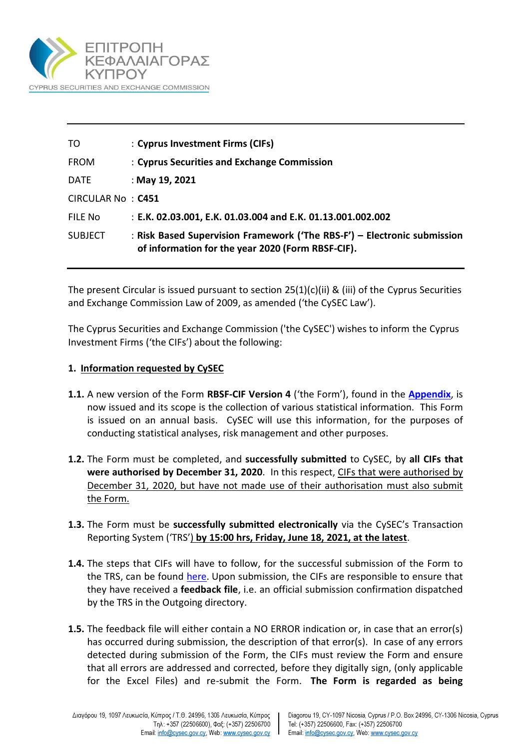

| TO                | : Cyprus Investment Firms (CIFs)                                                                                              |
|-------------------|-------------------------------------------------------------------------------------------------------------------------------|
| <b>FROM</b>       | : Cyprus Securities and Exchange Commission                                                                                   |
| <b>DATE</b>       | : May 19, 2021                                                                                                                |
| CIRCULAR No: C451 |                                                                                                                               |
| FILE No           | : E.K. 02.03.001, E.K. 01.03.004 and E.K. 01.13.001.002.002                                                                   |
| <b>SUBJECT</b>    | : Risk Based Supervision Framework ('The RBS-F') - Electronic submission<br>of information for the year 2020 (Form RBSF-CIF). |

The present Circular is issued pursuant to section 25(1)(c)(ii) & (iii) of the Cyprus Securities and Exchange Commission Law of 2009, as amended ('the CySEC Law').

The Cyprus Securities and Exchange Commission ('the CySEC') wishes to inform the Cyprus Investment Firms ('the CIFs') about the following:

#### **1. Information requested by CySEC**

- **1.1.** A new version of the Form **RBSF-CIF Version 4** ('the Form'), found in the **[Appendix](https://www.cysec.gov.cy/entities/RBS-F/FORMS/86099/)**, is now issued and its scope is the collection of various statistical information. This Form is issued on an annual basis. CySEC will use this information, for the purposes of conducting statistical analyses, risk management and other purposes.
- **1.2.** The Form must be completed, and **successfully submitted** to CySEC, by **all CIFs that were authorised by December 31, 2020**. In this respect, CIFs that were authorised by December 31, 2020, but have not made use of their authorisation must also submit the Form.
- **1.3.** The Form must be **successfully submitted electronically** via the CySEC's Transaction Reporting System ('TRS') **by 15:00 hrs, Friday, June 18, 2021, at the latest**.
- **1.4.** The steps that CIFs will have to follow, for the successful submission of the Form to the TRS, can be found [here.](https://www.cysec.gov.cy/en-GB/entities/digital-signature/TRS-User-Manual/) Upon submission, the CIFs are responsible to ensure that they have received a **feedback file**, i.e. an official submission confirmation dispatched by the TRS in the Outgoing directory.
- **1.5.** The feedback file will either contain a NO ERROR indication or, in case that an error(s) has occurred during submission, the description of that error(s). In case of any errors detected during submission of the Form, the CIFs must review the Form and ensure that all errors are addressed and corrected, before they digitally sign, (only applicable for the Excel Files) and re-submit the Form. **The Form is regarded as being**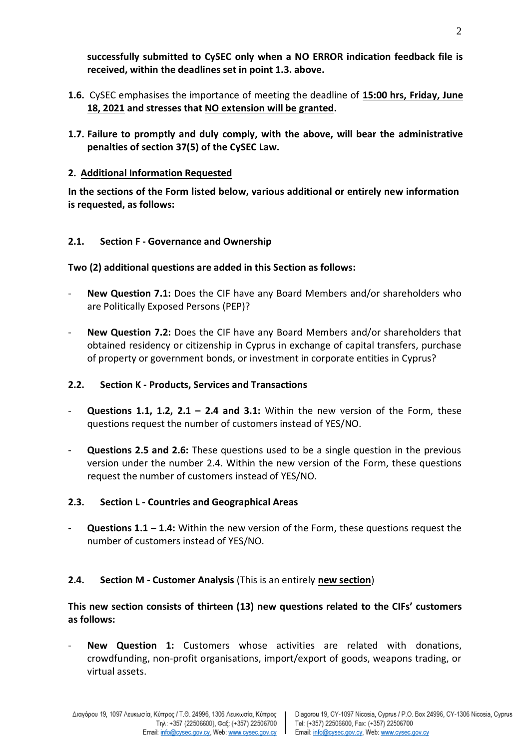- **1.6.** CySEC emphasises the importance of meeting the deadline of **15:00 hrs, Friday, June 18, 2021 and stresses that NO extension will be granted.**
- **1.7. Failure to promptly and duly comply, with the above, will bear the administrative penalties of section 37(5) of the CySEC Law.**
- **2. Additional Information Requested**

**In the sections of the Form listed below, various additional or entirely new information is requested, as follows:**

## **2.1. Section F - Governance and Ownership**

### **Two (2) additional questions are added in this Section as follows:**

- **New Question 7.1:** Does the CIF have any Board Members and/or shareholders who are Politically Exposed Persons (PEP)?
- **New Question 7.2:** Does the CIF have any Board Members and/or shareholders that obtained residency or citizenship in Cyprus in exchange of capital transfers, purchase of property or government bonds, or investment in corporate entities in Cyprus?

## **2.2. Section K - Products, Services and Transactions**

- **Questions 1.1, 1.2, 2.1 – 2.4 and 3.1:** Within the new version of the Form, these questions request the number of customers instead of YES/NO.
- **Questions 2.5 and 2.6:** These questions used to be a single question in the previous version under the number 2.4. Within the new version of the Form, these questions request the number of customers instead of YES/NO.

# **2.3. Section L - Countries and Geographical Areas**

- **Questions 1.1 – 1.4:** Within the new version of the Form, these questions request the number of customers instead of YES/NO.

# **2.4. Section M - Customer Analysis** (This is an entirely **new section**)

### **This new section consists of thirteen (13) new questions related to the CIFs' customers as follows:**

- **New Question 1:** Customers whose activities are related with donations, crowdfunding, non-profit organisations, import/export of goods, weapons trading, or virtual assets.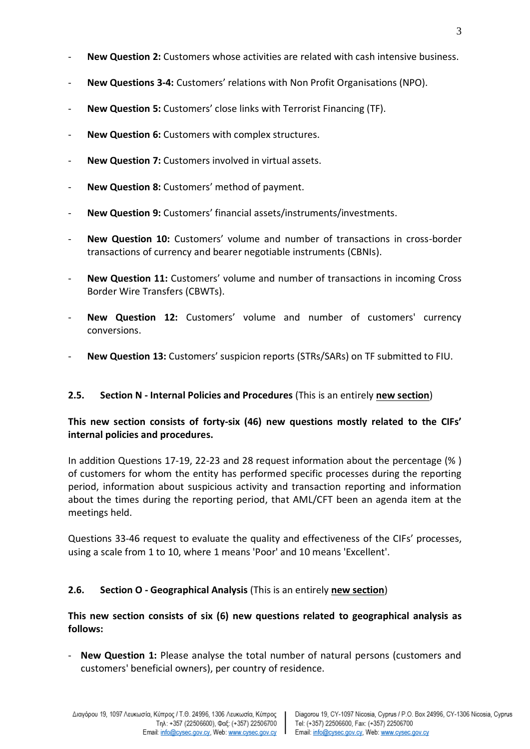- **New Question 2:** Customers whose activities are related with cash intensive business.
- **New Questions 3-4:** Customers' relations with Non Profit Organisations (NPO).
- **New Question 5:** Customers' close links with Terrorist Financing (TF).
- **New Question 6:** Customers with complex structures.
- New Question 7: Customers involved in virtual assets.
- New Question 8: Customers' method of payment.
- **New Question 9:** Customers' financial assets/instruments/investments.
- **New Question 10:** Customers' volume and number of transactions in cross-border transactions of currency and bearer negotiable instruments (CBNIs).
- **New Question 11:** Customers' volume and number of transactions in incoming Cross Border Wire Transfers (CBWTs).
- **New Question 12:** Customers' volume and number of customers' currency conversions.
- **New Question 13:** Customers' suspicion reports (STRs/SARs) on TF submitted to FIU.

### **2.5. Section N - Internal Policies and Procedures** (This is an entirely **new section**)

### **This new section consists of forty-six (46) new questions mostly related to the CIFs' internal policies and procedures.**

In addition Questions 17-19, 22-23 and 28 request information about the percentage (% ) of customers for whom the entity has performed specific processes during the reporting period, information about suspicious activity and transaction reporting and information about the times during the reporting period, that AML/CFT been an agenda item at the meetings held.

Questions 33-46 request to evaluate the quality and effectiveness of the CIFs' processes, using a scale from 1 to 10, where 1 means 'Poor' and 10 means 'Excellent'.

### **2.6. Section O - Geographical Analysis** (This is an entirely **new section**)

**This new section consists of six (6) new questions related to geographical analysis as follows:**

- **New Question 1:** Please analyse the total number of natural persons (customers and customers' beneficial owners), per country of residence.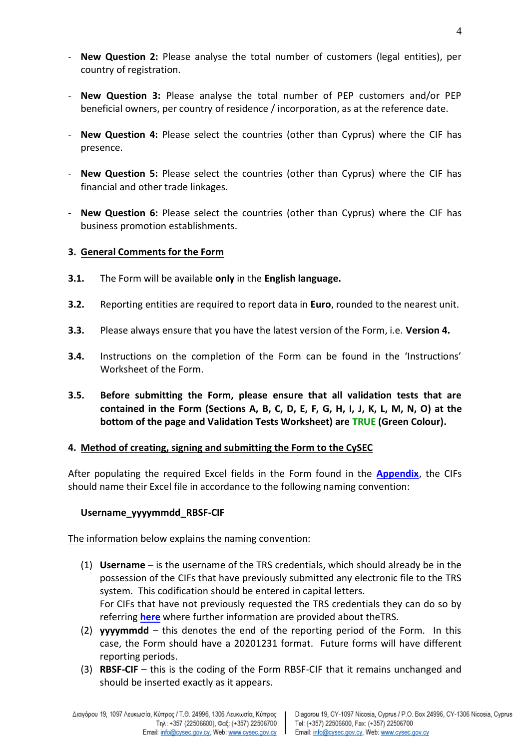- **New Question 2:** Please analyse the total number of customers (legal entities), per country of registration.
- **New Question 3:** Please analyse the total number of PEP customers and/or PEP beneficial owners, per country of residence / incorporation, as at the reference date.
- **New Question 4:** Please select the countries (other than Cyprus) where the CIF has presence.
- **New Question 5:** Please select the countries (other than Cyprus) where the CIF has financial and other trade linkages.
- **New Question 6:** Please select the countries (other than Cyprus) where the CIF has business promotion establishments.

#### **3. General Comments for the Form**

- **3.1.** The Form will be available **only** in the **English language.**
- **3.2.** Reporting entities are required to report data in **Euro**, rounded to the nearest unit.
- **3.3.** Please always ensure that you have the latest version of the Form, i.e. **Version 4.**
- **3.4.** Instructions on the completion of the Form can be found in the 'Instructions' Worksheet of the Form.
- **3.5. Before submitting the Form, please ensure that all validation tests that are contained in the Form (Sections A, B, C, D, E, F, G, H, I, J, K, L, M, N, O) at the bottom of the page and Validation Tests Worksheet) are TRUE (Green Colour).**

### **4. Method of creating, signing and submitting the Form to the CySEC**

After populating the required Excel fields in the Form found in the **[Appendix](https://www.cysec.gov.cy/entities/RBS-F/FORMS/86099/)**, the CIFs should name their Excel file in accordance to the following naming convention:

### **Username\_yyyymmdd\_RBSF-CIF**

#### The information below explains the naming convention:

- (1) **Username**  is the username of the TRS credentials, which should already be in the possession of the CIFs that have previously submitted any electronic file to the TRS system. This codification should be entered in capital letters. For CIFs that have not previously requested the TRS credentials they can do so by referring **[here](https://www.cysec.gov.cy/en-GB/entities/digital-signature/TRS-User-Manual/)** where further information are provided about theTRS.
- (2) **yyyymmdd**  this denotes the end of the reporting period of the Form. In this case, the Form should have a 20201231 format. Future forms will have different reporting periods.
- (3) **RBSF-CIF** this is the coding of the Form RBSF-CIF that it remains unchanged and should be inserted exactly as it appears.